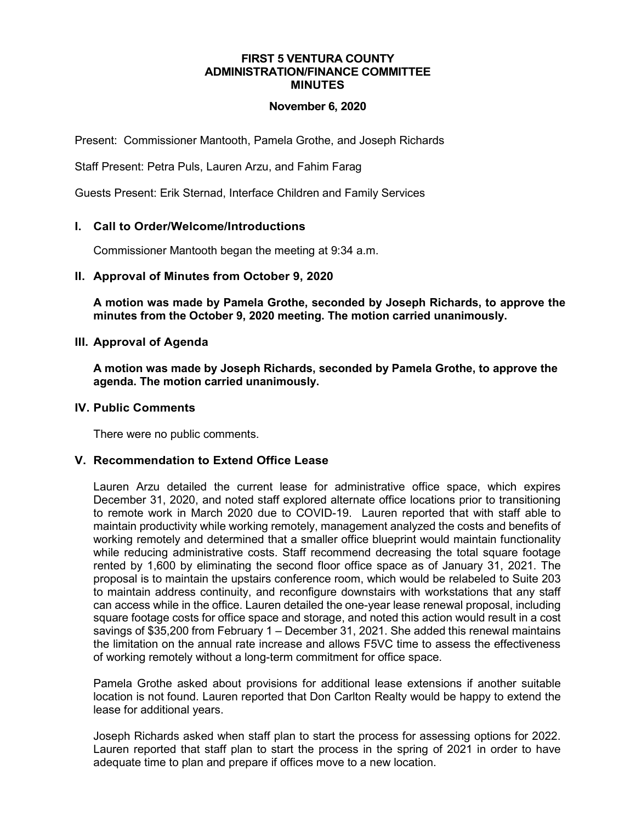#### **FIRST 5 VENTURA COUNTY ADMINISTRATION/FINANCE COMMITTEE MINUTES**

## **November 6, 2020**

Present: Commissioner Mantooth, Pamela Grothe, and Joseph Richards

Staff Present: Petra Puls, Lauren Arzu, and Fahim Farag

Guests Present: Erik Sternad, Interface Children and Family Services

# **I. Call to Order/Welcome/Introductions**

Commissioner Mantooth began the meeting at 9:34 a.m.

## **II. Approval of Minutes from October 9, 2020**

**A motion was made by Pamela Grothe, seconded by Joseph Richards, to approve the minutes from the October 9, 2020 meeting. The motion carried unanimously.**

## **III. Approval of Agenda**

**A motion was made by Joseph Richards, seconded by Pamela Grothe, to approve the agenda. The motion carried unanimously.**

## **IV. Public Comments**

There were no public comments.

# **V. Recommendation to Extend Office Lease**

Lauren Arzu detailed the current lease for administrative office space, which expires December 31, 2020, and noted staff explored alternate office locations prior to transitioning to remote work in March 2020 due to COVID-19. Lauren reported that with staff able to maintain productivity while working remotely, management analyzed the costs and benefits of working remotely and determined that a smaller office blueprint would maintain functionality while reducing administrative costs. Staff recommend decreasing the total square footage rented by 1,600 by eliminating the second floor office space as of January 31, 2021. The proposal is to maintain the upstairs conference room, which would be relabeled to Suite 203 to maintain address continuity, and reconfigure downstairs with workstations that any staff can access while in the office. Lauren detailed the one-year lease renewal proposal, including square footage costs for office space and storage, and noted this action would result in a cost savings of \$35,200 from February 1 – December 31, 2021. She added this renewal maintains the limitation on the annual rate increase and allows F5VC time to assess the effectiveness of working remotely without a long-term commitment for office space.

Pamela Grothe asked about provisions for additional lease extensions if another suitable location is not found. Lauren reported that Don Carlton Realty would be happy to extend the lease for additional years.

Joseph Richards asked when staff plan to start the process for assessing options for 2022. Lauren reported that staff plan to start the process in the spring of 2021 in order to have adequate time to plan and prepare if offices move to a new location.